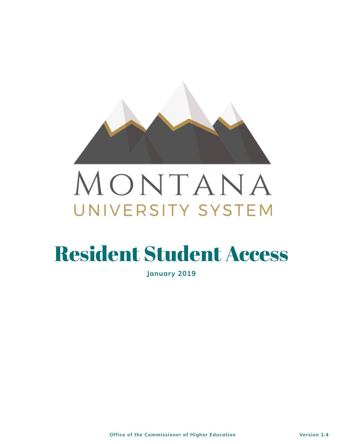

# MONTANA UNIVERSITY SYSTEM

# Resident Student Access

**January 2019**

**Office of the Commissioner of Higher Education Version 1.4**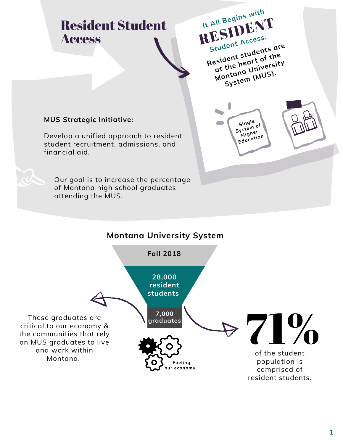# Resident Student Access



#### **MUS Strategic Initiative:**

Develop a unified approach to resident student recruitment, admissions, and financial aid.



# and work within

**1**

Our goal is to increase the percentage of Montana high school graduates attending the MUS.

> comprised of resident students.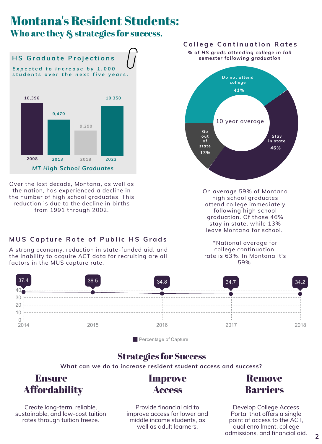## Montana's Resident Students: Who are they & strategies for success.

#### **C o l l e g e C o n ti n u a ti o n R a t e s**

On average 59% of Montana high school graduates attend college immediately following high school graduation. Of those 46% stay in state, while 13% leave Montana for school.

*E x p e c t e d t o i n c r e a s e b y 1 , 0 0 0* students over the next five years.

> \*National average for college continuation rate is 63%. In Montana it's 59%.



*MT High School Graduates*

#### **H S G r a d u a t e P r o j e c ti o n s**



#### **Percentage of Capture**



A strong economy, reduction in state-funded aid, and the inability to acquire ACT data for recruiting are all factors in the MUS capture rate.

#### **What can we do to increase resident student access and success?**

## Strategies for Success

#### Ensure **Affordability** Improve

Create long-term, reliable, sustainable, and low-cost tuition rates through tuition freeze.

Access

Provide financial aid to improve access for lower and middle income students, as well as adult learners.

## Remove Barriers

Develop College Access Portal that offers a single point of access to the ACT, dual enrollment, college admissions, and financial aid.

Over the last decade, Montana, as well as the nation, has experienced a decline in the number of high school graduates. This reduction is due to the decline in births from 1991 through 2002.

#### MUS Capture Rate of Public HS Grads

*% of HS grads attending college in fall semester following graduation*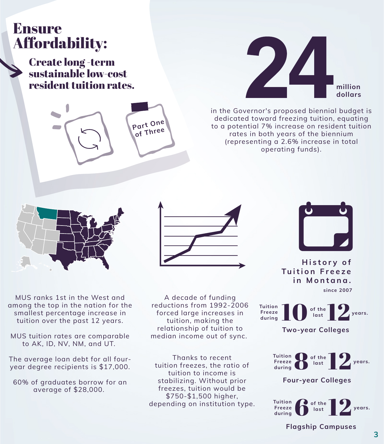# Ensure Affordability:

Create long -term sustainable low-cost resident tuition rates.

MUS ranks 1st in the West and among the top in the nation for the smallest percentage increase in tuition over the past 12 years.

MUS tuition rates are comparable to AK, ID, NV, NM, and UT.

The average loan debt for all fouryear degree recipients is \$17,000.

60% of graduates borrow for an

#### average of \$28,000.



in the Governor's proposed biennial budget is dedicated toward freezing tuition, equating to a potential 7% increase on resident tuition rates in both years of the biennium (representing a 2.6% increase in total operating funds).



**3**

A decade of funding reductions from 1992-2006 forced large increases in tuition, making the relationship of tuition to median income out of sync.

Thanks to recent tuition freezes, the ratio of tuition to income is stabilizing. Without prior

freezes, tuition would be \$750-\$1,500 higher, depending on institution type.



#### **H i s t o r y o f**  $T$  **u** ition Freeze **i n M o n t a n a .**

10 of the 12

**Two-year Colleges**

**Four-year Colleges**



**since 2007**

**Tuition**

**Freeze**

**during**

**of the**

**last**

**years.**



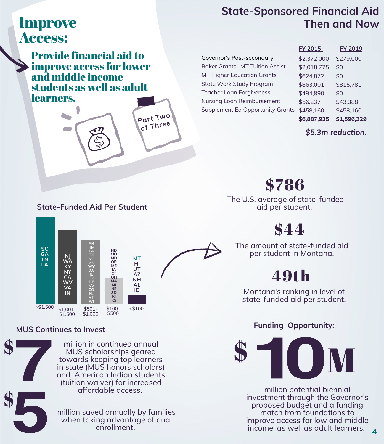# Improve Access:

Provide financial aid to improve access for lower and middle income students as well as adult learners.

> million potential biennial investment through the Governor's proposed budget and a funding match from foundations to improve access for low and middle income, as well as adult learners.

**4**

**Part Tw<sup>o</sup>**

**of Thre<sup>e</sup>**

million in continued annual MUS scholarships geared towards keeping top learners in state (MUS honors scholars) and American Indian students (tuition waiver) for increased

#### affordable access.

million saved annually by families when taking advantage of dual enrollment.

**State-Sponsored Financial Aid Then and Now**

Governor's Post-secondary Baker Grants- MT Tuition Assist MT Higher Education Grants State Work Study Program Teacher Loan Forgiveness Nursing Loan Reimbursement Supplement Ed Opportunity Grants

| FY 2015     | <b>FY 2019</b> |
|-------------|----------------|
| \$2,372,000 | \$279,000      |
| \$2,018,775 | \$0            |
| \$624,872   | \$0            |
| \$863,001   | \$815,781      |
| \$494,890   | \$0            |
| \$56,237    | \$43,388       |
| \$458,160   | \$458,160      |
| \$6,887,935 | \$1,596,329    |

#### The U.S. average of state-funded aid per student.

The amount of state-funded aid per student in Montana.

\$786



#### **MUS Continues to Invest**

**Funding Opportunity:**

*\$5.3m reduction.*

#### **State-Funded Aid Per Student**



Montana's ranking in level of state-funded aid per student.

# 49th





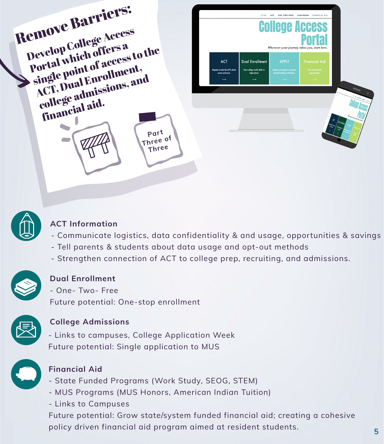



Wherever your journey takes you, start here

**5**

| <b>ACT</b>                                          | Dual Enrollment                              | <b>APPLY</b>                                                         | <b>Financial Aid</b>                 |
|-----------------------------------------------------|----------------------------------------------|----------------------------------------------------------------------|--------------------------------------|
| Register to take the ACT, check<br>scores and more. | Earn college credit while in<br>high school. | <b>Explore and apply to campuses</b><br>and universities in Montana. | View financial aid<br>opportunities. |
|                                                     |                                              | $\longrightarrow$                                                    | $\longrightarrow$                    |



### **ACT Information**

#### **Dual Enrollment**

### **College Admissions**

### **Financial Aid**

- Communicate logistics, data confidentiality & and usage, opportunities & savings
- Tell parents & students about data usage and opt-out methods
- Strengthen connection of ACT to college prep, recruiting, and admissions.



- One- Two- Free
- Future potential: One-stop enrollment



- Links to campuses, College Application Week
- Future potential: Single application to MUS



- State Funded Programs (Work Study, SEOG, STEM)

#### - MUS Programs (MUS Honors, American Indian Tuition)

- Links to Campuses

#### Future potential: Grow state/system funded financial aid; creating a cohesive

policy driven financial aid program aimed at resident students.